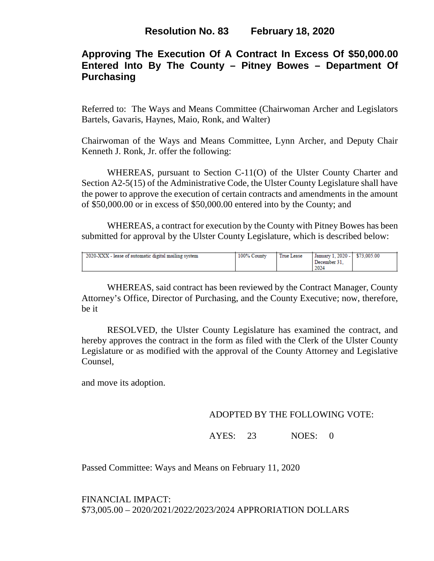# **Approving The Execution Of A Contract In Excess Of \$50,000.00 Entered Into By The County – Pitney Bowes – Department Of Purchasing**

Referred to: The Ways and Means Committee (Chairwoman Archer and Legislators Bartels, Gavaris, Haynes, Maio, Ronk, and Walter)

Chairwoman of the Ways and Means Committee, Lynn Archer, and Deputy Chair Kenneth J. Ronk, Jr. offer the following:

WHEREAS, pursuant to Section C-11(O) of the Ulster County Charter and Section A2-5(15) of the Administrative Code, the Ulster County Legislature shall have the power to approve the execution of certain contracts and amendments in the amount of \$50,000.00 or in excess of \$50,000.00 entered into by the County; and

WHEREAS, a contract for execution by the County with Pitney Bowes has been submitted for approval by the Ulster County Legislature, which is described below:

| 2024 | 2020-XXX - lease of automatic digital mailing system | 100% County | True Lease | January 1, 2020 - S73,005.00<br>December 31. |  |
|------|------------------------------------------------------|-------------|------------|----------------------------------------------|--|
|------|------------------------------------------------------|-------------|------------|----------------------------------------------|--|

WHEREAS, said contract has been reviewed by the Contract Manager, County Attorney's Office, Director of Purchasing, and the County Executive; now, therefore, be it

RESOLVED, the Ulster County Legislature has examined the contract, and hereby approves the contract in the form as filed with the Clerk of the Ulster County Legislature or as modified with the approval of the County Attorney and Legislative Counsel,

and move its adoption.

### ADOPTED BY THE FOLLOWING VOTE:

### AYES: 23 NOES: 0

Passed Committee: Ways and Means on February 11, 2020

FINANCIAL IMPACT: \$73,005.00 – 2020/2021/2022/2023/2024 APPRORIATION DOLLARS